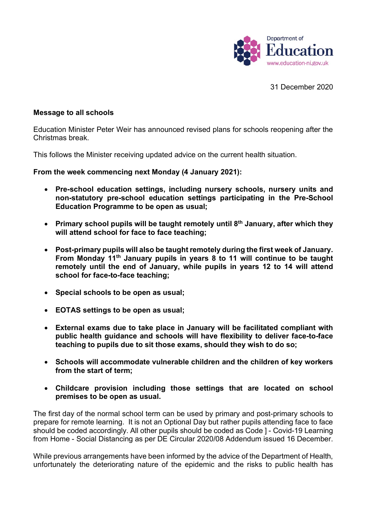

31 December 2020

## **Message to all schools**

Education Minister Peter Weir has announced revised plans for schools reopening after the Christmas break.

This follows the Minister receiving updated advice on the current health situation.

**From the week commencing next Monday (4 January 2021):**

- **Pre-school education settings, including nursery schools, nursery units and non-statutory pre-school education settings participating in the Pre-School Education Programme to be open as usual;**
- **Primary school pupils will be taught remotely until 8th January, after which they will attend school for face to face teaching;**
- **Post-primary pupils will also be taught remotely during the first week of January. From Monday 11th January pupils in years 8 to 11 will continue to be taught remotely until the end of January, while pupils in years 12 to 14 will attend school for face-to-face teaching;**
- **Special schools to be open as usual;**
- **EOTAS settings to be open as usual;**
- **External exams due to take place in January will be facilitated compliant with public health guidance and schools will have flexibility to deliver face-to-face teaching to pupils due to sit those exams, should they wish to do so;**
- **Schools will accommodate vulnerable children and the children of key workers from the start of term;**
- **Childcare provision including those settings that are located on school premises to be open as usual.**

The first day of the normal school term can be used by primary and post-primary schools to prepare for remote learning. It is not an Optional Day but rather pupils attending face to face should be coded accordingly. All other pupils should be coded as Code ] - Covid-19 Learning from Home - Social Distancing as per DE Circular 2020/08 Addendum issued 16 December.

While previous arrangements have been informed by the advice of the Department of Health, unfortunately the deteriorating nature of the epidemic and the risks to public health has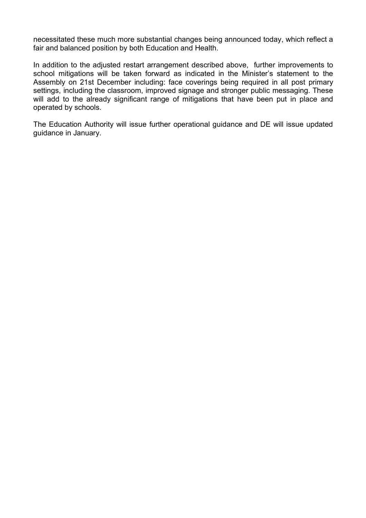necessitated these much more substantial changes being announced today, which reflect a fair and balanced position by both Education and Health.

In addition to the adjusted restart arrangement described above, further improvements to school mitigations will be taken forward as indicated in the Minister's statement to the Assembly on 21st December including: face coverings being required in all post primary settings, including the classroom, improved signage and stronger public messaging. These will add to the already significant range of mitigations that have been put in place and operated by schools.

The Education Authority will issue further operational guidance and DE will issue updated guidance in January.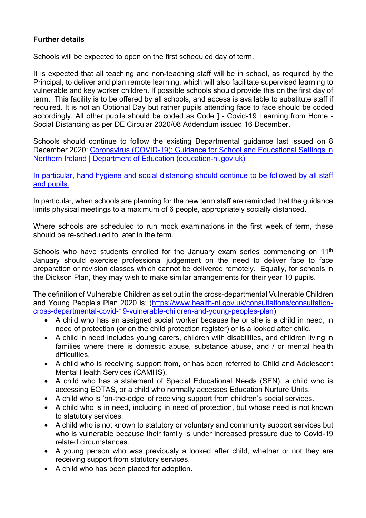## **Further details**

Schools will be expected to open on the first scheduled day of term.

It is expected that all teaching and non-teaching staff will be in school, as required by the Principal, to deliver and plan remote learning, which will also facilitate supervised learning to vulnerable and key worker children. If possible schools should provide this on the first day of term. This facility is to be offered by all schools, and access is available to substitute staff if required. It is not an Optional Day but rather pupils attending face to face should be coded accordingly. All other pupils should be coded as Code ] - Covid-19 Learning from Home - Social Distancing as per DE Circular 2020/08 Addendum issued 16 December.

Schools should continue to follow the existing Departmental guidance last issued on 8 December 2020: Coronavirus (COVID-19): Guidance for School and Educational Settings in Northern Ireland | Department of Education (education-ni.gov.uk)

In particular, hand hygiene and social distancing should continue to be followed by all staff and pupils.

In particular, when schools are planning for the new term staff are reminded that the guidance limits physical meetings to a maximum of 6 people, appropriately socially distanced.

Where schools are scheduled to run mock examinations in the first week of term, these should be re-scheduled to later in the term.

Schools who have students enrolled for the January exam series commencing on 11<sup>th</sup> January should exercise professional judgement on the need to deliver face to face preparation or revision classes which cannot be delivered remotely. Equally, for schools in the Dickson Plan, they may wish to make similar arrangements for their year 10 pupils.

The definition of Vulnerable Children as set out in the cross-departmental Vulnerable Children and Young People's Plan 2020 is: (https://www.health-ni.gov.uk/consultations/consultationcross-departmental-covid-19-vulnerable-children-and-young-peoples-plan)

- A child who has an assigned social worker because he or she is a child in need, in need of protection (or on the child protection register) or is a looked after child.
- A child in need includes young carers, children with disabilities, and children living in families where there is domestic abuse, substance abuse, and / or mental health difficulties.
- A child who is receiving support from, or has been referred to Child and Adolescent Mental Health Services (CAMHS).
- A child who has a statement of Special Educational Needs (SEN), a child who is accessing EOTAS, or a child who normally accesses Education Nurture Units.
- A child who is 'on-the-edge' of receiving support from children's social services.
- A child who is in need, including in need of protection, but whose need is not known to statutory services.
- A child who is not known to statutory or voluntary and community support services but who is vulnerable because their family is under increased pressure due to Covid-19 related circumstances.
- A young person who was previously a looked after child, whether or not they are receiving support from statutory services.
- A child who has been placed for adoption.